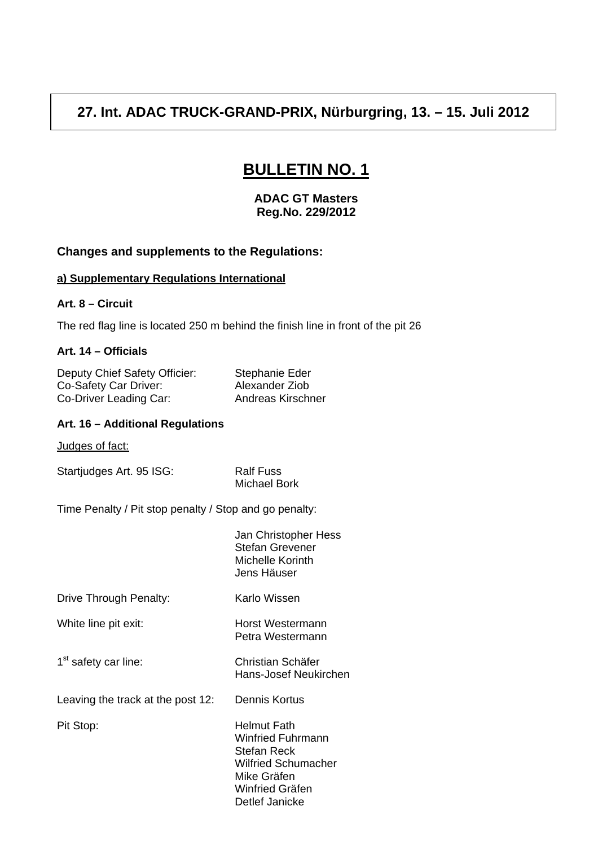# **27. Int. ADAC TRUCK-GRAND-PRIX, Nürburgring, 13. – 15. Juli 2012**

# **BULLETIN NO. 1**

**ADAC GT Masters Reg.No. 229/2012** 

## **Changes and supplements to the Regulations:**

# **a) Supplementary Regulations International**

#### **Art. 8 – Circuit**

The red flag line is located 250 m behind the finish line in front of the pit 26

#### **Art. 14 – Officials**

Deputy Chief Safety Officier: Stephanie Eder<br>Co-Safety Car Driver: Alexander Ziob Co-Safety Car Driver: Co-Driver Leading Car: Andreas Kirschner

#### **Art. 16 – Additional Regulations**

Judges of fact:

Startjudges Art. 95 ISG: Ralf Fuss

Michael Bork

Time Penalty / Pit stop penalty / Stop and go penalty:

|                                   | Jan Christopher Hess<br><b>Stefan Grevener</b><br>Michelle Korinth<br>Jens Häuser                                                 |
|-----------------------------------|-----------------------------------------------------------------------------------------------------------------------------------|
| Drive Through Penalty:            | Karlo Wissen                                                                                                                      |
| White line pit exit:              | Horst Westermann<br>Petra Westermann                                                                                              |
| 1 <sup>st</sup> safety car line:  | Christian Schäfer<br>Hans-Josef Neukirchen                                                                                        |
| Leaving the track at the post 12: | Dennis Kortus                                                                                                                     |
| Pit Stop:                         | Helmut Fath<br>Winfried Fuhrmann<br>Stefan Reck<br><b>Wilfried Schumacher</b><br>Mike Gräfen<br>Winfried Gräfen<br>Detlef Janicke |